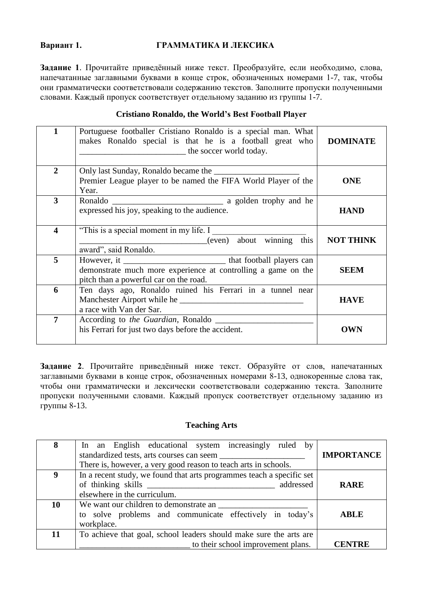#### Вариант 1. ГРАММАТИКА И ЛЕКСИКА

Задание 1. Прочитайте приведённый ниже текст. Преобразуйте, если необходимо, слова, напечатанные заглавными буквами в конце строк, обозначенных номерами 1-7, так, чтобы они грамматически соответствовали содержанию текстов. Заполните пропуски полученными словами. Каждый пропуск соответствует отдельному заданию из группы 1-7.

# **Cristiano Ronaldo, the World's Best Football Player**

|                         | Portuguese footballer Cristiano Ronaldo is a special man. What<br>makes Ronaldo special is that he is a football great who<br>the soccer world today. | <b>DOMINATE</b>  |
|-------------------------|-------------------------------------------------------------------------------------------------------------------------------------------------------|------------------|
| $\overline{2}$          | Premier League player to be named the FIFA World Player of the                                                                                        | <b>ONE</b>       |
| 3                       | Year.<br>expressed his joy, speaking to the audience.                                                                                                 | <b>HAND</b>      |
| $\overline{\mathbf{4}}$ | "This is a special moment in my life. I<br>(even) about winning this<br>award", said Ronaldo.                                                         | <b>NOT THINK</b> |
| 5                       | demonstrate much more experience at controlling a game on the<br>pitch than a powerful car on the road.                                               | <b>SEEM</b>      |
| 6                       | Ten days ago, Ronaldo ruined his Ferrari in a tunnel near<br>a race with Van der Sar.                                                                 | <b>HAVE</b>      |
| 7                       | According to the Guardian, Ronaldo<br>his Ferrari for just two days before the accident.                                                              | OWN              |

Задание 2. Прочитайте приведённый ниже текст. Образуйте от слов, напечатанных заглавными буквами в конце строк, обозначенных номерами 8-13, однокоренные слова так, чтобы они грамматически и лексически соответствовали содержанию текста. Заполните пропуски полученными словами. Каждый пропуск соответствует отдельному заданию из группы 8-13.

## **Teaching Arts**

| 8  | In an English educational system increasingly ruled by<br>standardized tests, arts courses can seem<br>There is, however, a very good reason to teach arts in schools. | <b>IMPORTANCE</b> |
|----|------------------------------------------------------------------------------------------------------------------------------------------------------------------------|-------------------|
| 9  | In a recent study, we found that arts programmes teach a specific set<br>of thinking skills<br>addressed<br>elsewhere in the curriculum.                               | <b>RARE</b>       |
| 10 | We want our children to demonstrate an<br>to solve problems and communicate effectively in today's<br>workplace.                                                       | <b>ABLE</b>       |
| 11 | To achieve that goal, school leaders should make sure the arts are<br>to their school improvement plans.                                                               | CENTRE            |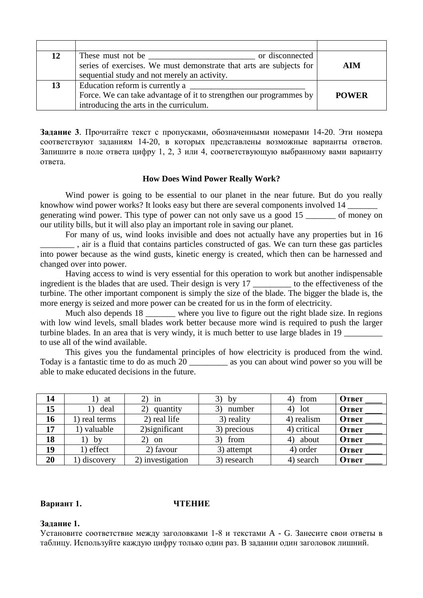| 12 | or disconnected                                                     |              |
|----|---------------------------------------------------------------------|--------------|
|    | series of exercises. We must demonstrate that arts are subjects for | <b>AIM</b>   |
|    | sequential study and not merely an activity.                        |              |
| 13 | Education reform is currently a                                     |              |
|    | Force. We can take advantage of it to strengthen our programmes by  | <b>POWER</b> |
|    | introducing the arts in the curriculum.                             |              |

**Задание 3**. Прочитайте текст с пропусками, обозначенными номерами 14-20. Эти номера соответствуют заданиям 14-20, в которых представлены возможные варианты ответов. Запишите в поле ответа цифру 1, 2, 3 или 4, соответствующую выбранному вами варианту ответа.

#### **How Does Wind Power Really Work?**

Wind power is going to be essential to our planet in the near future. But do you really knowhow wind power works? It looks easy but there are several components involved 14 generating wind power. This type of power can not only save us a good 15 of money on our utility bills, but it will also play an important role in saving our planet.

For many of us, wind looks invisible and does not actually have any properties but in 16 \_\_\_\_\_\_\_\_ , air is a fluid that contains particles constructed of gas. We can turn these gas particles into power because as the wind gusts, kinetic energy is created, which then can be harnessed and changed over into power.

Having access to wind is very essential for this operation to work but another indispensable ingredient is the blades that are used. Their design is very 17 to the effectiveness of the turbine. The other important component is simply the size of the blade. The bigger the blade is, the more energy is seized and more power can be created for us in the form of electricity.

Much also depends 18 \_\_\_\_\_\_\_ where you live to figure out the right blade size. In regions with low wind levels, small blades work better because more wind is required to push the larger turbine blades. In an area that is very windy, it is much better to use large blades in 19 to use all of the wind available.

This gives you the fundamental principles of how electricity is produced from the wind. Today is a fantastic time to do as much 20 as you can about wind power so you will be able to make educated decisions in the future.

| 14 | at         | 1n               | by          | from        | <b>Ответ</b> |
|----|------------|------------------|-------------|-------------|--------------|
| 15 | deal       | quantity         | number      | 4)<br>lot   | Ответ        |
| 16 | real terms | 2) real life     | 3) reality  | 4) realism  | <b>Ответ</b> |
| 17 | valuable   | 2) significant   | 3) precious | 4) critical | Ответ        |
| 18 | by         | on               | from        | about<br>4) | Ответ        |
| 19 | 1) effect  | 2) favour        | 3) attempt  | 4) order    | <b>Ответ</b> |
| 20 | discovery  | 2) investigation | 3) research | 4) search   | <b>Ответ</b> |

# **Вариант 1. ЧТЕНИЕ**

#### **Задание 1.**

Установите соответствие между заголовками 1-8 и текстами A - G. Занесите свои ответы в таблицу. Используйте каждую цифру только один раз. В задании один заголовок лишний.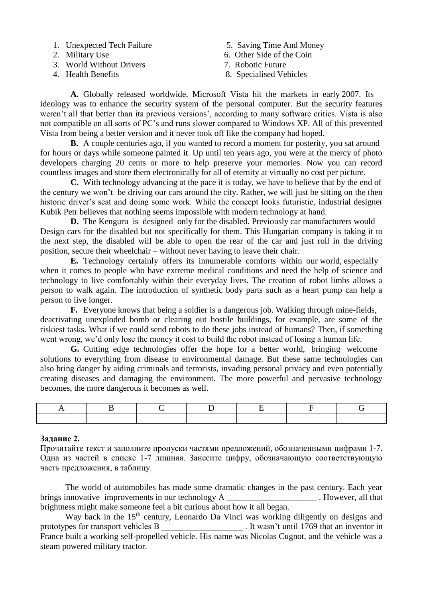- 
- 
- 3. World Without Drivers 7. Robotic Future
- 
- 1. Unexpected Tech Failure 5. Saving Time And Money
- 2. Military Use 6. Other Side of the Coin
	-
- 4. Health Benefits 8. Specialised Vehicles

**A.** Globally released worldwide, Microsoft Vista hit the markets in early 2007. Its ideology was to enhance the security system of the personal computer. But the security features weren't all that better than its previous versions', according to many software critics. Vista is also not compatible on all sorts of PC's and runs slower compared to Windows XP. All of this prevented Vista from being a better version and it never took off like the company had hoped.

**B.** A couple centuries ago, if you wanted to record a moment for posterity, you sat around for hours or days while someone painted it. Up until ten years ago, you were at the mercy of photo developers charging 20 cents or more to help preserve your memories. Now you can record countless images and store them electronically for all of eternity at virtually no cost per picture.

**C.** With technology advancing at the pace it is today, we have to believe that by the end of the century we won't be driving our cars around the city. Rather, we will just be sitting on the then historic driver's seat and doing some work. While the concept looks futuristic, industrial designer Kubik Petr believes that nothing seems impossible with modern technology at hand.

**D.** The Kenguru is designed only for the disabled. Previously car manufacturers would Design cars for the disabled but not specifically for them. This Hungarian company is taking it to the next step, the disabled will be able to open the rear of the car and just roll in the driving position, secure their wheelchair – without never having to leave their chair.

**E.** Technology certainly offers its innumerable comforts within our world, especially when it comes to people who have extreme medical conditions and need the help of science and technology to live comfortably within their everyday lives. The creation of robot limbs allows a person to walk again. The introduction of synthetic body parts such as a heart pump can help a person to live longer.

**F.** Everyone knows that being a soldier is a dangerous job. Walking through mine-fields, deactivating unexploded bomb or clearing out hostile buildings, for example, are some of the riskiest tasks. What if we could send robots to do these jobs instead of humans? Then, if something went wrong, we'd only lose the money it cost to build the robot instead of losing a human life.

**G.** Cutting edge technologies offer the hope for a better world, bringing welcome solutions to everything from disease to environmental damage. But these same technologies can also bring danger by aiding criminals and terrorists, invading personal privacy and even potentially creating diseases and damaging the environment. The more powerful and pervasive technology becomes, the more dangerous it becomes as well.

# **Задание 2.**

Прочитайте текст и заполните пропуски частями предложений, обозначенными цифрами 1-7. Одна из частей в списке 1-7 лишняя. Занесите цифру, обозначающую соответствующую часть предложения, в таблицу.

The world of automobiles has made some dramatic changes in the past century. Each year brings innovative improvements in our technology A . However, all that brightness might make someone feel a bit curious about how it all began.

Way back in the 15<sup>th</sup> century, Leonardo Da Vinci was working diligently on designs and prototypes for transport vehicles B \_\_\_\_\_\_\_\_\_\_\_\_\_\_\_\_\_\_\_ . It wasn't until 1769 that an inventor in France built a working self-propelled vehicle. His name was Nicolas Cugnot, and the vehicle was a steam powered military tractor.